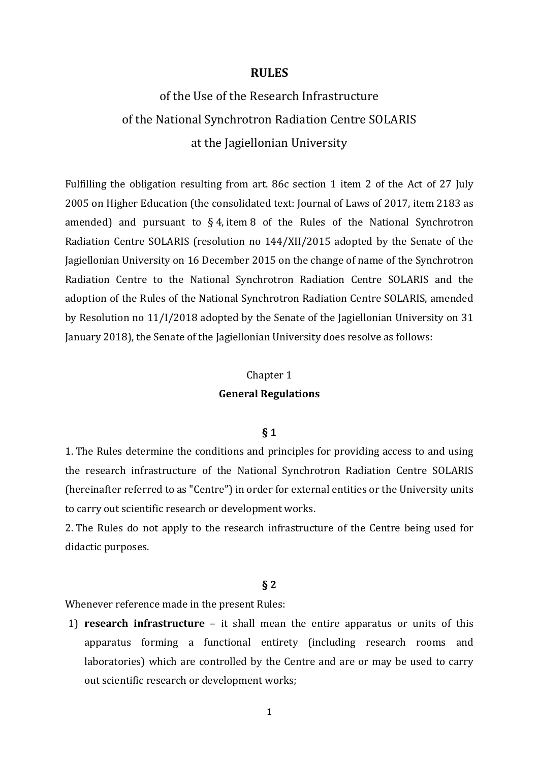### **RULES**

# of the Use of the Research Infrastructure of the National Synchrotron Radiation Centre SOLARIS at the Jagiellonian University

Fulfilling the obligation resulting from art. 86c section 1 item 2 of the Act of 27 July 2005 on Higher Education (the consolidated text: Journal of Laws of 2017, item 2183 as amended) and pursuant to  $\S 4$ , item 8 of the Rules of the National Synchrotron Radiation Centre SOLARIS (resolution no 144/XII/2015 adopted by the Senate of the Jagiellonian University on 16 December 2015 on the change of name of the Synchrotron Radiation Centre to the National Synchrotron Radiation Centre SOLARIS and the adoption of the Rules of the National Synchrotron Radiation Centre SOLARIS, amended by Resolution no 11/I/2018 adopted by the Senate of the Jagiellonian University on 31 January 2018), the Senate of the Jagiellonian University does resolve as follows:

# Chapter 1 **General Regulations**

#### **§ 1**

1. The Rules determine the conditions and principles for providing access to and using the research infrastructure of the National Synchrotron Radiation Centre SOLARIS (hereinafter referred to as "Centre") in order for external entities or the University units to carry out scientific research or development works.

2. The Rules do not apply to the research infrastructure of the Centre being used for didactic purposes.

#### **§ 2**

Whenever reference made in the present Rules:

1) **research infrastructure** – it shall mean the entire apparatus or units of this apparatus forming a functional entirety (including research rooms and laboratories) which are controlled by the Centre and are or may be used to carry out scientific research or development works;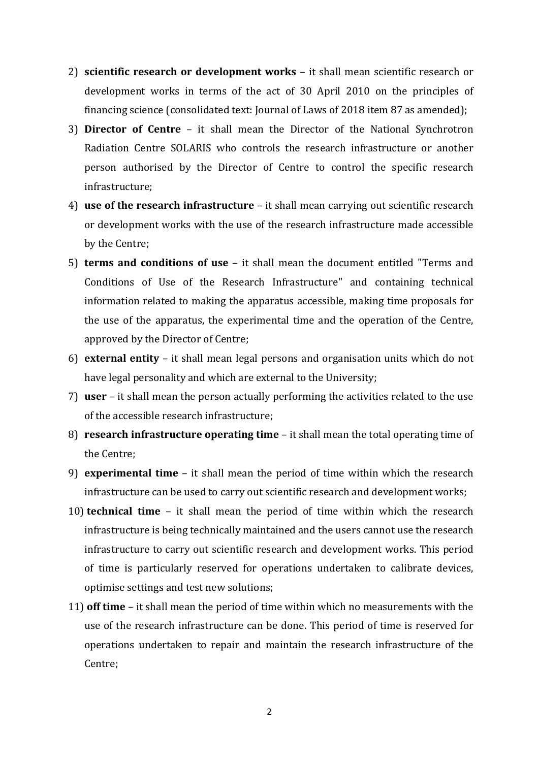- 2) **scientific research or development works** it shall mean scientific research or development works in terms of the act of 30 April 2010 on the principles of financing science (consolidated text: Journal of Laws of 2018 item 87 as amended);
- 3) **Director of Centre**  it shall mean the Director of the National Synchrotron Radiation Centre SOLARIS who controls the research infrastructure or another person authorised by the Director of Centre to control the specific research infrastructure;
- 4) **use of the research infrastructure** it shall mean carrying out scientific research or development works with the use of the research infrastructure made accessible by the Centre;
- 5) **terms and conditions of use**  it shall mean the document entitled "Terms and Conditions of Use of the Research Infrastructure" and containing technical information related to making the apparatus accessible, making time proposals for the use of the apparatus, the experimental time and the operation of the Centre, approved by the Director of Centre;
- 6) **external entity** it shall mean legal persons and organisation units which do not have legal personality and which are external to the University;
- 7) **user** it shall mean the person actually performing the activities related to the use of the accessible research infrastructure;
- 8) **research infrastructure operating time** it shall mean the total operating time of the Centre;
- 9) **experimental time**  it shall mean the period of time within which the research infrastructure can be used to carry out scientific research and development works;
- 10) **technical time** it shall mean the period of time within which the research infrastructure is being technically maintained and the users cannot use the research infrastructure to carry out scientific research and development works. This period of time is particularly reserved for operations undertaken to calibrate devices, optimise settings and test new solutions;
- 11) **off time**  it shall mean the period of time within which no measurements with the use of the research infrastructure can be done. This period of time is reserved for operations undertaken to repair and maintain the research infrastructure of the Centre;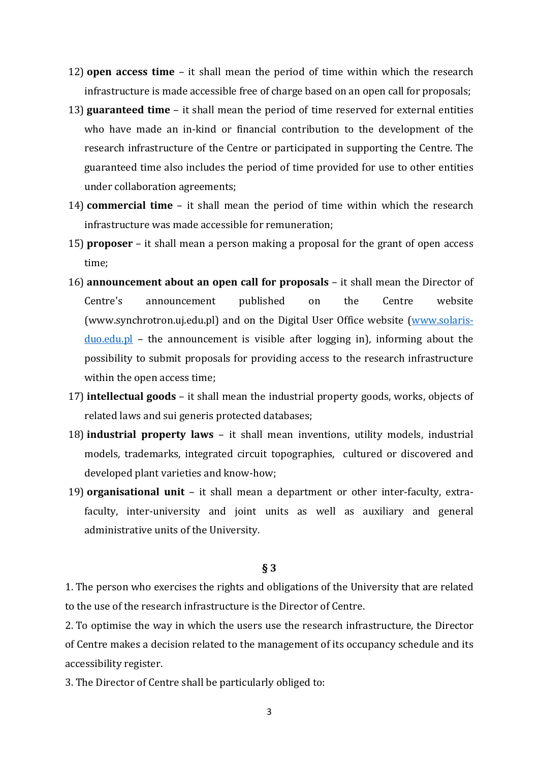- 12) **open access time** it shall mean the period of time within which the research infrastructure is made accessible free of charge based on an open call for proposals;
- 13) **guaranteed time** it shall mean the period of time reserved for external entities who have made an in-kind or financial contribution to the development of the research infrastructure of the Centre or participated in supporting the Centre. The guaranteed time also includes the period of time provided for use to other entities under collaboration agreements;
- 14) **commercial time**  it shall mean the period of time within which the research infrastructure was made accessible for remuneration;
- 15) **proposer** it shall mean a person making a proposal for the grant of open access time;
- 16) **announcement about an open call for proposals**  it shall mean the Director of Centre's announcement published on the Centre website (www.synchrotron.uj.edu.pl) and on the Digital User Office website (www.solarisduo.edu.pl – the announcement is visible after logging in), informing about the possibility to submit proposals for providing access to the research infrastructure within the open access time;
- 17) **intellectual goods** it shall mean the industrial property goods, works, objects of related laws and sui generis protected databases;
- 18) **industrial property laws** it shall mean inventions, utility models, industrial models, trademarks, integrated circuit topographies, cultured or discovered and developed plant varieties and know-how;
- 19) **organisational unit**  it shall mean a department or other inter-faculty, extrafaculty, inter-university and joint units as well as auxiliary and general administrative units of the University.

## **§ 3**

1. The person who exercises the rights and obligations of the University that are related to the use of the research infrastructure is the Director of Centre.

2. To optimise the way in which the users use the research infrastructure, the Director of Centre makes a decision related to the management of its occupancy schedule and its accessibility register.

3. The Director of Centre shall be particularly obliged to:

<sup>3</sup>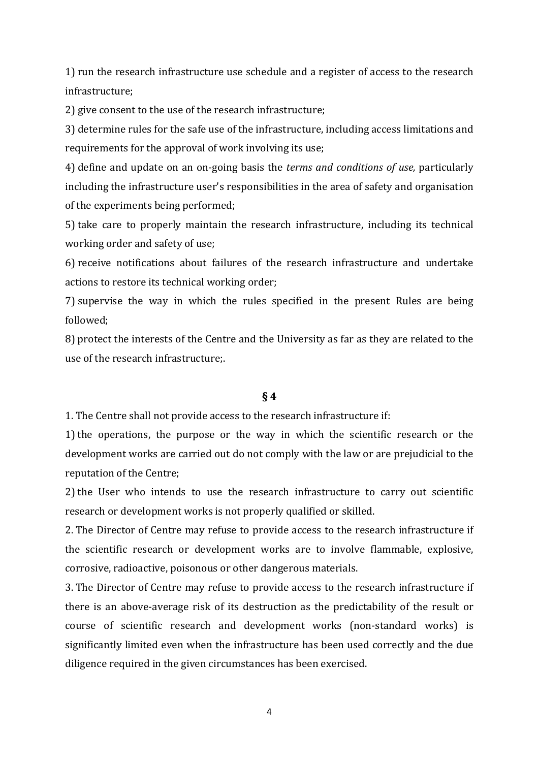1) run the research infrastructure use schedule and a register of access to the research infrastructure;

2) give consent to the use of the research infrastructure;

3) determine rules for the safe use of the infrastructure, including access limitations and requirements for the approval of work involving its use;

4) define and update on an on-going basis the *terms and conditions of use,* particularly including the infrastructure user's responsibilities in the area of safety and organisation of the experiments being performed;

5) take care to properly maintain the research infrastructure, including its technical working order and safety of use;

6) receive notifications about failures of the research infrastructure and undertake actions to restore its technical working order;

7) supervise the way in which the rules specified in the present Rules are being followed;

8) protect the interests of the Centre and the University as far as they are related to the use of the research infrastructure;.

## **§ 4**

1. The Centre shall not provide access to the research infrastructure if:

1) the operations, the purpose or the way in which the scientific research or the development works are carried out do not comply with the law or are prejudicial to the reputation of the Centre;

2) the User who intends to use the research infrastructure to carry out scientific research or development works is not properly qualified or skilled.

2. The Director of Centre may refuse to provide access to the research infrastructure if the scientific research or development works are to involve flammable, explosive, corrosive, radioactive, poisonous or other dangerous materials.

3. The Director of Centre may refuse to provide access to the research infrastructure if there is an above-average risk of its destruction as the predictability of the result or course of scientific research and development works (non-standard works) is significantly limited even when the infrastructure has been used correctly and the due diligence required in the given circumstances has been exercised.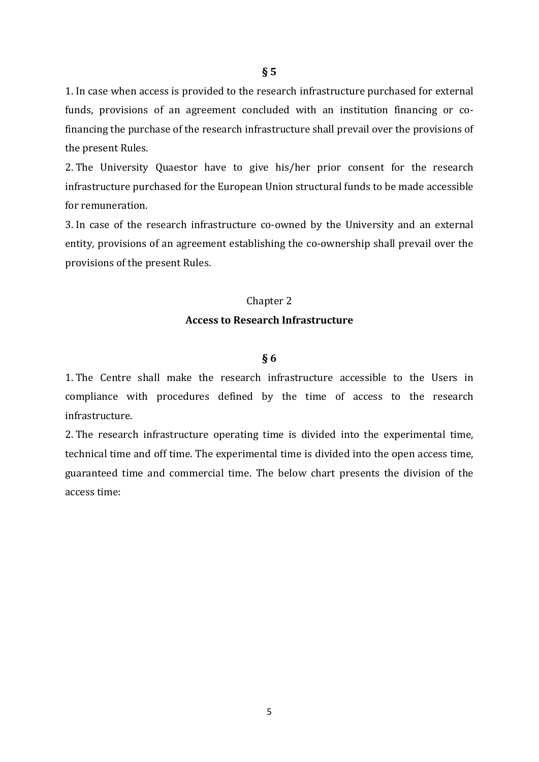**§ 5** 

1. In case when access is provided to the research infrastructure purchased for external funds, provisions of an agreement concluded with an institution financing or cofinancing the purchase of the research infrastructure shall prevail over the provisions of the present Rules.

2. The University Quaestor have to give his/her prior consent for the research infrastructure purchased for the European Union structural funds to be made accessible for remuneration.

3. In case of the research infrastructure co-owned by the University and an external entity, provisions of an agreement establishing the co-ownership shall prevail over the provisions of the present Rules.

#### Chapter 2

#### **Access to Research Infrastructure**

#### **§ 6**

1. The Centre shall make the research infrastructure accessible to the Users in compliance with procedures defined by the time of access to the research infrastructure.

2. The research infrastructure operating time is divided into the experimental time, technical time and off time. The experimental time is divided into the open access time, guaranteed time and commercial time. The below chart presents the division of the access time: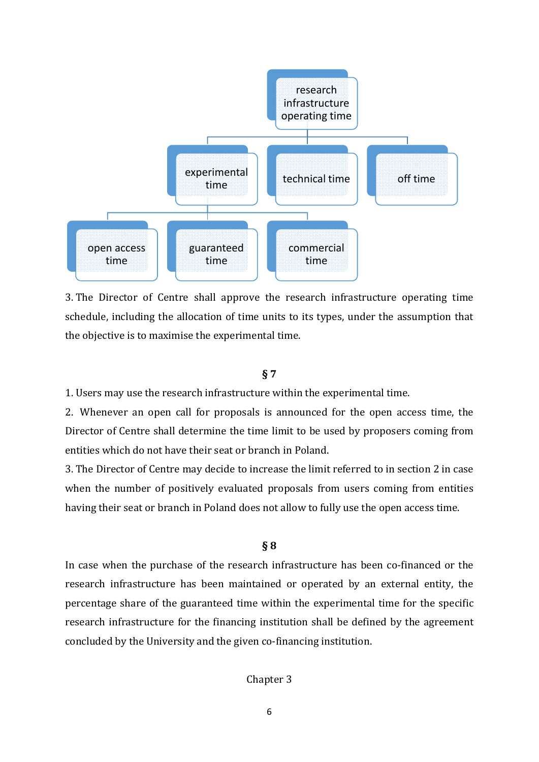

3. The Director of Centre shall approve the research infrastructure operating time schedule, including the allocation of time units to its types, under the assumption that the objective is to maximise the experimental time.

#### **§ 7**

1. Users may use the research infrastructure within the experimental time.

2. Whenever an open call for proposals is announced for the open access time, the Director of Centre shall determine the time limit to be used by proposers coming from entities which do not have their seat or branch in Poland.

3. The Director of Centre may decide to increase the limit referred to in section 2 in case when the number of positively evaluated proposals from users coming from entities having their seat or branch in Poland does not allow to fully use the open access time.

### **§ 8**

In case when the purchase of the research infrastructure has been co-financed or the research infrastructure has been maintained or operated by an external entity, the percentage share of the guaranteed time within the experimental time for the specific research infrastructure for the financing institution shall be defined by the agreement concluded by the University and the given co-financing institution.

Chapter 3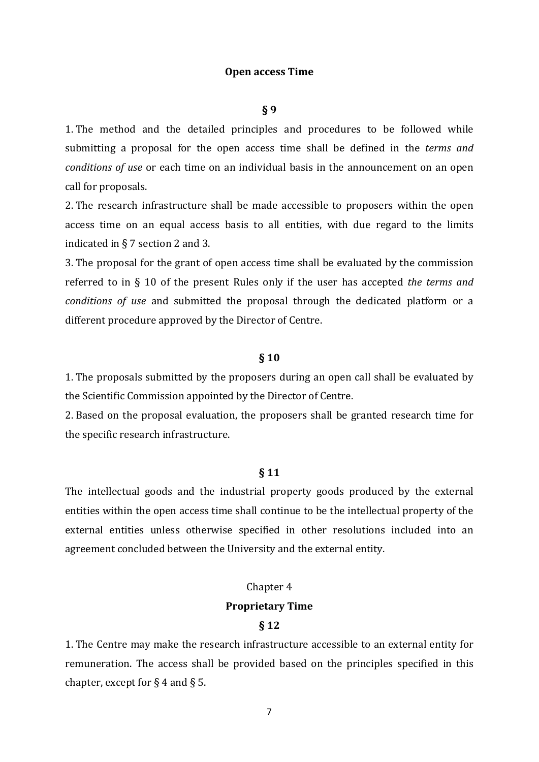#### **Open access Time**

#### **§ 9**

1. The method and the detailed principles and procedures to be followed while submitting a proposal for the open access time shall be defined in the *terms and conditions of use* or each time on an individual basis in the announcement on an open call for proposals.

2. The research infrastructure shall be made accessible to proposers within the open access time on an equal access basis to all entities, with due regard to the limits indicated in § 7 section 2 and 3.

3. The proposal for the grant of open access time shall be evaluated by the commission referred to in § 10 of the present Rules only if the user has accepted *the terms and conditions of use* and submitted the proposal through the dedicated platform or a different procedure approved by the Director of Centre.

#### **§ 10**

1. The proposals submitted by the proposers during an open call shall be evaluated by the Scientific Commission appointed by the Director of Centre.

2. Based on the proposal evaluation, the proposers shall be granted research time for the specific research infrastructure.

#### **§ 11**

The intellectual goods and the industrial property goods produced by the external entities within the open access time shall continue to be the intellectual property of the external entities unless otherwise specified in other resolutions included into an agreement concluded between the University and the external entity.

# Chapter 4

# **Proprietary Time**

# **§ 12**

1. The Centre may make the research infrastructure accessible to an external entity for remuneration. The access shall be provided based on the principles specified in this chapter, except for  $\S 4$  and  $\S 5$ .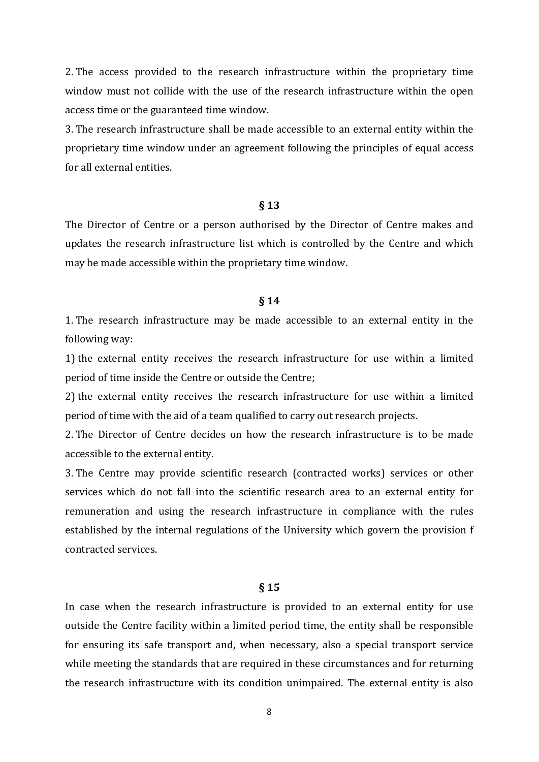2. The access provided to the research infrastructure within the proprietary time window must not collide with the use of the research infrastructure within the open access time or the guaranteed time window.

3. The research infrastructure shall be made accessible to an external entity within the proprietary time window under an agreement following the principles of equal access for all external entities.

#### **§ 13**

The Director of Centre or a person authorised by the Director of Centre makes and updates the research infrastructure list which is controlled by the Centre and which may be made accessible within the proprietary time window.

#### **§ 14**

1. The research infrastructure may be made accessible to an external entity in the following way:

1) the external entity receives the research infrastructure for use within a limited period of time inside the Centre or outside the Centre;

2) the external entity receives the research infrastructure for use within a limited period of time with the aid of a team qualified to carry out research projects.

2. The Director of Centre decides on how the research infrastructure is to be made accessible to the external entity.

3. The Centre may provide scientific research (contracted works) services or other services which do not fall into the scientific research area to an external entity for remuneration and using the research infrastructure in compliance with the rules established by the internal regulations of the University which govern the provision f contracted services.

#### **§ 15**

In case when the research infrastructure is provided to an external entity for use outside the Centre facility within a limited period time, the entity shall be responsible for ensuring its safe transport and, when necessary, also a special transport service while meeting the standards that are required in these circumstances and for returning the research infrastructure with its condition unimpaired. The external entity is also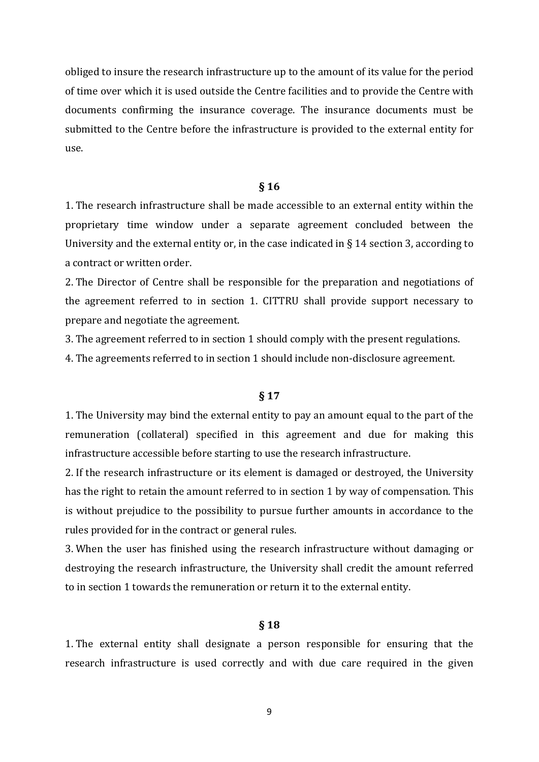obliged to insure the research infrastructure up to the amount of its value for the period of time over which it is used outside the Centre facilities and to provide the Centre with documents confirming the insurance coverage. The insurance documents must be submitted to the Centre before the infrastructure is provided to the external entity for use.

#### **§ 16**

1. The research infrastructure shall be made accessible to an external entity within the proprietary time window under a separate agreement concluded between the University and the external entity or, in the case indicated in  $\S$  14 section 3, according to a contract or written order.

2. The Director of Centre shall be responsible for the preparation and negotiations of the agreement referred to in section 1. CITTRU shall provide support necessary to prepare and negotiate the agreement.

3. The agreement referred to in section 1 should comply with the present regulations.

4. The agreements referred to in section 1 should include non-disclosure agreement.

#### **§ 17**

1. The University may bind the external entity to pay an amount equal to the part of the remuneration (collateral) specified in this agreement and due for making this infrastructure accessible before starting to use the research infrastructure.

2. If the research infrastructure or its element is damaged or destroyed, the University has the right to retain the amount referred to in section 1 by way of compensation. This is without prejudice to the possibility to pursue further amounts in accordance to the rules provided for in the contract or general rules.

3. When the user has finished using the research infrastructure without damaging or destroying the research infrastructure, the University shall credit the amount referred to in section 1 towards the remuneration or return it to the external entity.

#### **§ 18**

1. The external entity shall designate a person responsible for ensuring that the research infrastructure is used correctly and with due care required in the given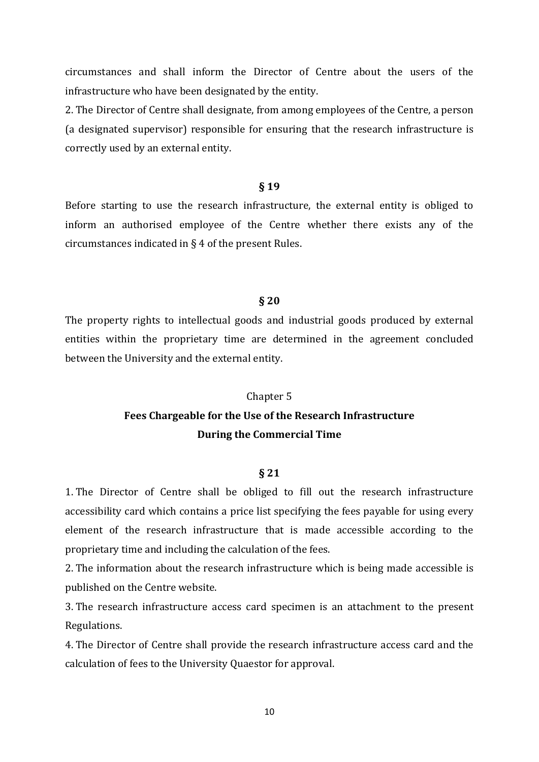circumstances and shall inform the Director of Centre about the users of the infrastructure who have been designated by the entity.

2. The Director of Centre shall designate, from among employees of the Centre, a person (a designated supervisor) responsible for ensuring that the research infrastructure is correctly used by an external entity.

# **§ 19**

Before starting to use the research infrastructure, the external entity is obliged to inform an authorised employee of the Centre whether there exists any of the circumstances indicated in § 4 of the present Rules.

#### **§ 20**

The property rights to intellectual goods and industrial goods produced by external entities within the proprietary time are determined in the agreement concluded between the University and the external entity.

# Chapter 5 **Fees Chargeable for the Use of the Research Infrastructure**

#### **During the Commercial Time**

#### **§ 21**

1. The Director of Centre shall be obliged to fill out the research infrastructure accessibility card which contains a price list specifying the fees payable for using every element of the research infrastructure that is made accessible according to the proprietary time and including the calculation of the fees.

2. The information about the research infrastructure which is being made accessible is published on the Centre website.

3. The research infrastructure access card specimen is an attachment to the present Regulations.

4. The Director of Centre shall provide the research infrastructure access card and the calculation of fees to the University Quaestor for approval.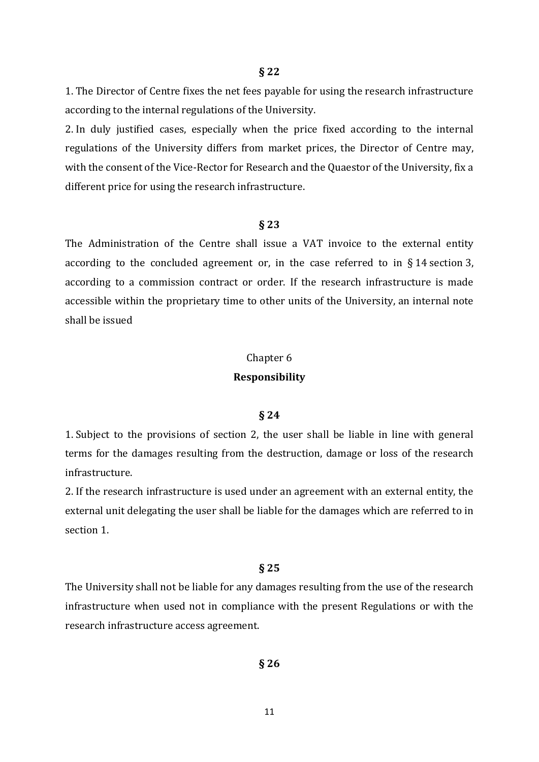1. The Director of Centre fixes the net fees payable for using the research infrastructure according to the internal regulations of the University.

2. In duly justified cases, especially when the price fixed according to the internal regulations of the University differs from market prices, the Director of Centre may, with the consent of the Vice-Rector for Research and the Quaestor of the University, fix a different price for using the research infrastructure.

#### **§ 23**

The Administration of the Centre shall issue a VAT invoice to the external entity according to the concluded agreement or, in the case referred to in § 14 section 3, according to a commission contract or order. If the research infrastructure is made accessible within the proprietary time to other units of the University, an internal note shall be issued

# Chapter 6 **Responsibility**

#### **§ 24**

1. Subject to the provisions of section 2, the user shall be liable in line with general terms for the damages resulting from the destruction, damage or loss of the research infrastructure.

2. If the research infrastructure is used under an agreement with an external entity, the external unit delegating the user shall be liable for the damages which are referred to in section 1.

#### **§ 25**

The University shall not be liable for any damages resulting from the use of the research infrastructure when used not in compliance with the present Regulations or with the research infrastructure access agreement.

**§ 26**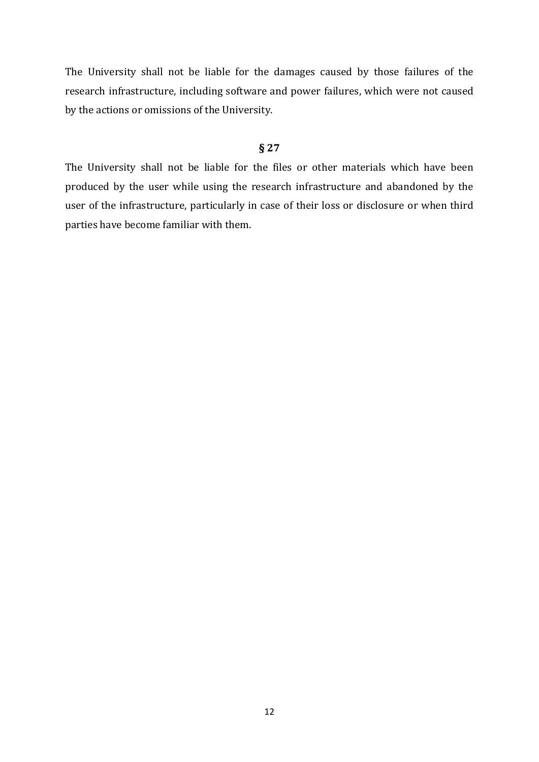The University shall not be liable for the damages caused by those failures of the research infrastructure, including software and power failures, which were not caused by the actions or omissions of the University.

# **§ 27**

The University shall not be liable for the files or other materials which have been produced by the user while using the research infrastructure and abandoned by the user of the infrastructure, particularly in case of their loss or disclosure or when third parties have become familiar with them.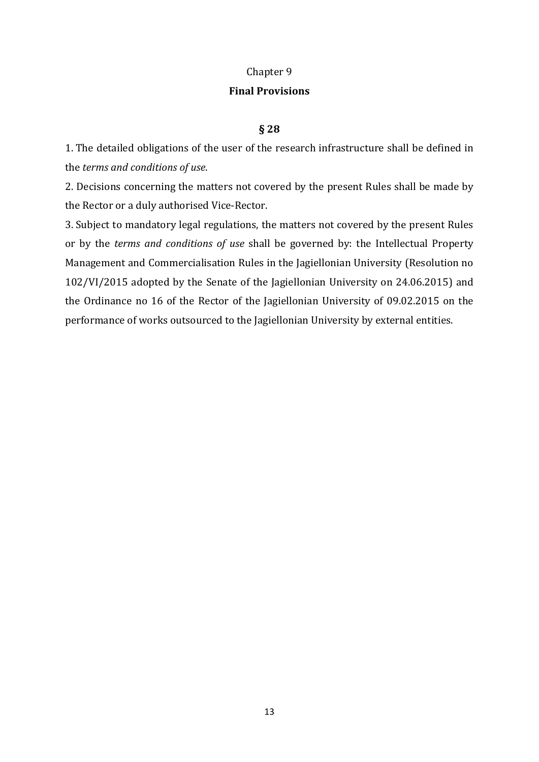# Chapter 9

# **Final Provisions**

# **§ 28**

1. The detailed obligations of the user of the research infrastructure shall be defined in the *terms and conditions of use*.

2. Decisions concerning the matters not covered by the present Rules shall be made by the Rector or a duly authorised Vice-Rector.

3. Subject to mandatory legal regulations, the matters not covered by the present Rules or by the *terms and conditions of use* shall be governed by: the Intellectual Property Management and Commercialisation Rules in the Jagiellonian University (Resolution no 102/VI/2015 adopted by the Senate of the Jagiellonian University on 24.06.2015) and the Ordinance no 16 of the Rector of the Jagiellonian University of 09.02.2015 on the performance of works outsourced to the Jagiellonian University by external entities.